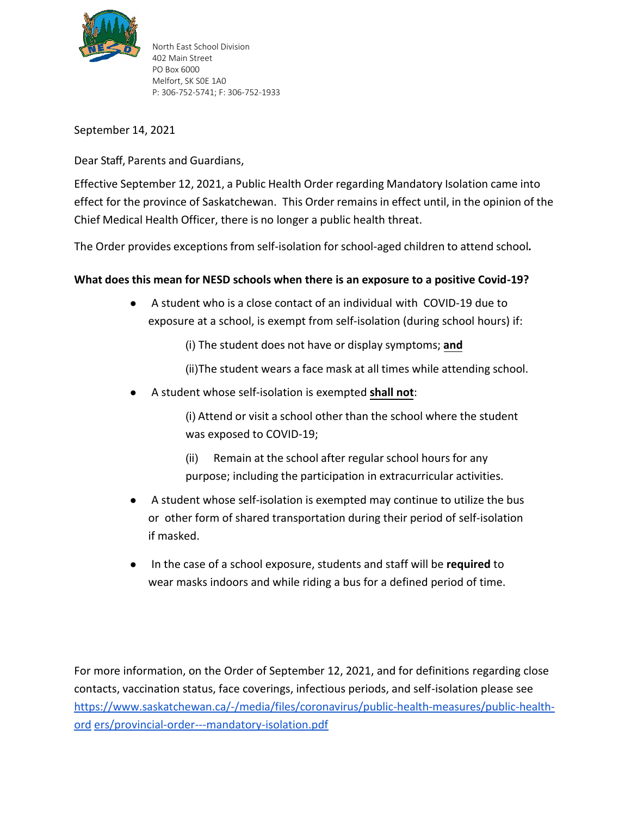

North East School Division 402 Main Street PO Box 6000 Melfort, SK S0E 1A0 P: 306-752-5741; F: 306-752-1933

September 14, 2021

Dear Staff, Parents and Guardians,

Effective September 12, 2021, a Public Health Order regarding Mandatory Isolation came into effect for the province of Saskatchewan. This Order remains in effect until, in the opinion of the Chief Medical Health Officer, there is no longer a public health threat.

The Order provides exceptions from self-isolation for school-aged children to attend school*.*

## **What does this mean for NESD schools when there is an exposure to a positive Covid-19?**

- A student who is a close contact of an individual with COVID-19 due to exposure at a school, is exempt from self-isolation (during school hours) if:
	- (i) The student does not have or display symptoms; **and**
	- (ii)The student wears a face mask at all times while attending school.
- A student whose self-isolation is exempted **shall not**:

(i) Attend or visit a school other than the school where the student was exposed to COVID-19;

- (ii) Remain at the school after regular school hours for any purpose; including the participation in extracurricular activities.
- A student whose self-isolation is exempted may continue to utilize the bus or other form of shared transportation during their period of self-isolation if masked.
- In the case of a school exposure, students and staff will be **required** to wear masks indoors and while riding a bus for a defined period of time.

For more information, on the Order of September 12, 2021, and for definitions regarding close contacts, vaccination status, face coverings, infectious periods, and self-isolation please see [https://www.saskatchewan.ca/-/media/files/coronavirus/public-health-measures/public-health](https://www.saskatchewan.ca/-/media/files/coronavirus/public-health-measures/public-health-orders/provincial-order---mandatory-isolation.pdf)[ord](https://www.saskatchewan.ca/-/media/files/coronavirus/public-health-measures/public-health-orders/provincial-order---mandatory-isolation.pdf) [ers/provincial-order---mandatory-isolation.pdf](https://www.saskatchewan.ca/-/media/files/coronavirus/public-health-measures/public-health-orders/provincial-order---mandatory-isolation.pdf)